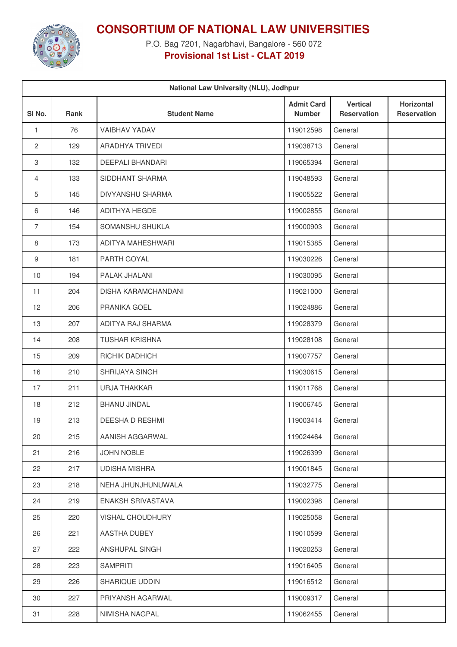

## **CONSORTIUM OF NATIONAL LAW UNIVERSITIES**

P.O. Bag 7201, Nagarbhavi, Bangalore - 560 072 **Provisional 1st List - CLAT 2019**

| National Law University (NLU), Jodhpur |             |                         |                                    |                                       |                                  |  |
|----------------------------------------|-------------|-------------------------|------------------------------------|---------------------------------------|----------------------------------|--|
| SI <sub>No.</sub>                      | <b>Rank</b> | <b>Student Name</b>     | <b>Admit Card</b><br><b>Number</b> | <b>Vertical</b><br><b>Reservation</b> | Horizontal<br><b>Reservation</b> |  |
| 1                                      | 76          | <b>VAIBHAV YADAV</b>    | 119012598                          | General                               |                                  |  |
| $\mathbf{2}$                           | 129         | ARADHYA TRIVEDI         | 119038713                          | General                               |                                  |  |
| 3                                      | 132         | <b>DEEPALI BHANDARI</b> | 119065394                          | General                               |                                  |  |
| $\overline{4}$                         | 133         | SIDDHANT SHARMA         | 119048593                          | General                               |                                  |  |
| 5                                      | 145         | DIVYANSHU SHARMA        | 119005522                          | General                               |                                  |  |
| 6                                      | 146         | <b>ADITHYA HEGDE</b>    | 119002855                          | General                               |                                  |  |
| $\overline{7}$                         | 154         | SOMANSHU SHUKLA         | 119000903                          | General                               |                                  |  |
| 8                                      | 173         | ADITYA MAHESHWARI       | 119015385                          | General                               |                                  |  |
| 9                                      | 181         | PARTH GOYAL             | 119030226                          | General                               |                                  |  |
| 10                                     | 194         | PALAK JHALANI           | 119030095                          | General                               |                                  |  |
| 11                                     | 204         | DISHA KARAMCHANDANI     | 119021000                          | General                               |                                  |  |
| 12                                     | 206         | PRANIKA GOEL            | 119024886                          | General                               |                                  |  |
| 13                                     | 207         | ADITYA RAJ SHARMA       | 119028379                          | General                               |                                  |  |
| 14                                     | 208         | <b>TUSHAR KRISHNA</b>   | 119028108                          | General                               |                                  |  |
| 15                                     | 209         | RICHIK DADHICH          | 119007757                          | General                               |                                  |  |
| 16                                     | 210         | SHRIJAYA SINGH          | 119030615                          | General                               |                                  |  |
| 17                                     | 211         | URJA THAKKAR            | 119011768                          | General                               |                                  |  |
| 18                                     | 212         | <b>BHANU JINDAL</b>     | 119006745                          | General                               |                                  |  |
| 19                                     | 213         | DEESHA D RESHMI         | 119003414                          | General                               |                                  |  |
| 20                                     | 215         | AANISH AGGARWAL         | 119024464                          | General                               |                                  |  |
| 21                                     | 216         | <b>JOHN NOBLE</b>       | 119026399                          | General                               |                                  |  |
| 22                                     | 217         | <b>UDISHA MISHRA</b>    | 119001845                          | General                               |                                  |  |
| 23                                     | 218         | NEHA JHUNJHUNUWALA      | 119032775                          | General                               |                                  |  |
| 24                                     | 219         | ENAKSH SRIVASTAVA       | 119002398                          | General                               |                                  |  |
| 25                                     | 220         | <b>VISHAL CHOUDHURY</b> | 119025058                          | General                               |                                  |  |
| 26                                     | 221         | AASTHA DUBEY            | 119010599                          | General                               |                                  |  |
| 27                                     | 222         | ANSHUPAL SINGH          | 119020253                          | General                               |                                  |  |
| 28                                     | 223         | <b>SAMPRITI</b>         | 119016405                          | General                               |                                  |  |
| 29                                     | 226         | SHARIQUE UDDIN          | 119016512                          | General                               |                                  |  |
| 30                                     | 227         | PRIYANSH AGARWAL        | 119009317                          | General                               |                                  |  |
| 31                                     | 228         | NIMISHA NAGPAL          | 119062455                          | General                               |                                  |  |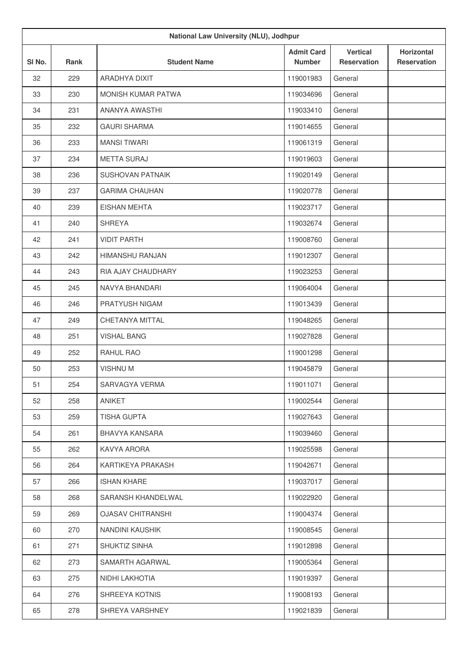|                   |             | National Law University (NLU), Jodhpur |                                    |                                       |                                         |
|-------------------|-------------|----------------------------------------|------------------------------------|---------------------------------------|-----------------------------------------|
| SI <sub>No.</sub> | <b>Rank</b> | <b>Student Name</b>                    | <b>Admit Card</b><br><b>Number</b> | <b>Vertical</b><br><b>Reservation</b> | <b>Horizontal</b><br><b>Reservation</b> |
| 32                | 229         | ARADHYA DIXIT                          | 119001983                          | General                               |                                         |
| 33                | 230         | <b>MONISH KUMAR PATWA</b>              | 119034696                          | General                               |                                         |
| 34                | 231         | ANANYA AWASTHI                         | 119033410                          | General                               |                                         |
| 35                | 232         | <b>GAURI SHARMA</b>                    | 119014655                          | General                               |                                         |
| 36                | 233         | <b>MANSI TIWARI</b>                    | 119061319                          | General                               |                                         |
| 37                | 234         | <b>METTA SURAJ</b>                     | 119019603                          | General                               |                                         |
| 38                | 236         | <b>SUSHOVAN PATNAIK</b>                | 119020149                          | General                               |                                         |
| 39                | 237         | <b>GARIMA CHAUHAN</b>                  | 119020778                          | General                               |                                         |
| 40                | 239         | <b>EISHAN MEHTA</b>                    | 119023717                          | General                               |                                         |
| 41                | 240         | <b>SHREYA</b>                          | 119032674                          | General                               |                                         |
| 42                | 241         | <b>VIDIT PARTH</b>                     | 119008760                          | General                               |                                         |
| 43                | 242         | HIMANSHU RANJAN                        | 119012307                          | General                               |                                         |
| 44                | 243         | RIA AJAY CHAUDHARY                     | 119023253                          | General                               |                                         |
| 45                | 245         | NAVYA BHANDARI                         | 119064004                          | General                               |                                         |
| 46                | 246         | PRATYUSH NIGAM                         | 119013439                          | General                               |                                         |
| 47                | 249         | CHETANYA MITTAL                        | 119048265                          | General                               |                                         |
| 48                | 251         | <b>VISHAL BANG</b>                     | 119027828                          | General                               |                                         |
| 49                | 252         | <b>RAHUL RAO</b>                       | 119001298                          | General                               |                                         |
| 50                | 253         | <b>VISHNUM</b>                         | 119045879                          | General                               |                                         |
| 51                | 254         | SARVAGYA VERMA                         | 119011071                          | General                               |                                         |
| 52                | 258         | ANIKET                                 | 119002544                          | General                               |                                         |
| 53                | 259         | <b>TISHA GUPTA</b>                     | 119027643                          | General                               |                                         |
| 54                | 261         | BHAVYA KANSARA                         | 119039460                          | General                               |                                         |
| 55                | 262         | KAVYA ARORA                            | 119025598                          | General                               |                                         |
| 56                | 264         | KARTIKEYA PRAKASH                      | 119042671                          | General                               |                                         |
| 57                | 266         | <b>ISHAN KHARE</b>                     | 119037017                          | General                               |                                         |
| 58                | 268         | SARANSH KHANDELWAL                     | 119022920                          | General                               |                                         |
| 59                | 269         | <b>OJASAV CHITRANSHI</b>               | 119004374                          | General                               |                                         |
| 60                | 270         | NANDINI KAUSHIK                        | 119008545                          | General                               |                                         |
| 61                | 271         | SHUKTIZ SINHA                          | 119012898                          | General                               |                                         |
| 62                | 273         | SAMARTH AGARWAL                        | 119005364                          | General                               |                                         |
| 63                | 275         | NIDHI LAKHOTIA                         | 119019397                          | General                               |                                         |
| 64                | 276         | SHREEYA KOTNIS                         | 119008193                          | General                               |                                         |
| 65                | 278         | SHREYA VARSHNEY                        | 119021839                          | General                               |                                         |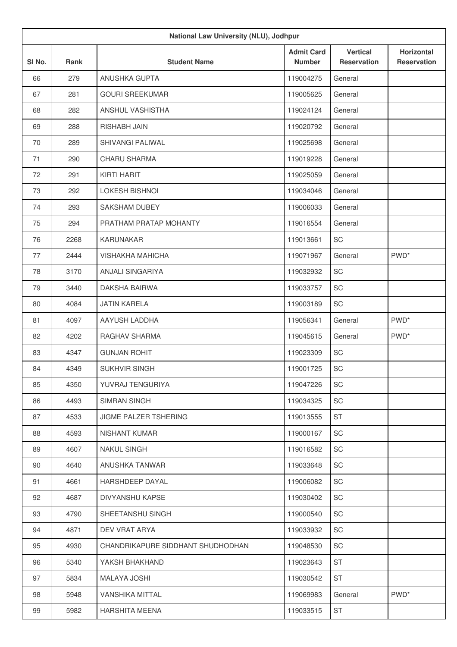| National Law University (NLU), Jodhpur |      |                                   |                                    |                                       |                                         |
|----------------------------------------|------|-----------------------------------|------------------------------------|---------------------------------------|-----------------------------------------|
| SI No.                                 | Rank | <b>Student Name</b>               | <b>Admit Card</b><br><b>Number</b> | <b>Vertical</b><br><b>Reservation</b> | <b>Horizontal</b><br><b>Reservation</b> |
| 66                                     | 279  | ANUSHKA GUPTA                     | 119004275                          | General                               |                                         |
| 67                                     | 281  | <b>GOURI SREEKUMAR</b>            | 119005625                          | General                               |                                         |
| 68                                     | 282  | ANSHUL VASHISTHA                  | 119024124                          | General                               |                                         |
| 69                                     | 288  | RISHABH JAIN                      | 119020792                          | General                               |                                         |
| 70                                     | 289  | SHIVANGI PALIWAL                  | 119025698                          | General                               |                                         |
| 71                                     | 290  | <b>CHARU SHARMA</b>               | 119019228                          | General                               |                                         |
| 72                                     | 291  | KIRTI HARIT                       | 119025059                          | General                               |                                         |
| 73                                     | 292  | <b>LOKESH BISHNOI</b>             | 119034046                          | General                               |                                         |
| 74                                     | 293  | SAKSHAM DUBEY                     | 119006033                          | General                               |                                         |
| 75                                     | 294  | PRATHAM PRATAP MOHANTY            | 119016554                          | General                               |                                         |
| 76                                     | 2268 | <b>KARUNAKAR</b>                  | 119013661                          | SC                                    |                                         |
| 77                                     | 2444 | <b>VISHAKHA MAHICHA</b>           | 119071967                          | General                               | PWD <sup>*</sup>                        |
| 78                                     | 3170 | <b>ANJALI SINGARIYA</b>           | 119032932                          | SC                                    |                                         |
| 79                                     | 3440 | <b>DAKSHA BAIRWA</b>              | 119033757                          | SC                                    |                                         |
| 80                                     | 4084 | <b>JATIN KARELA</b>               | 119003189                          | SC                                    |                                         |
| 81                                     | 4097 | AAYUSH LADDHA                     | 119056341                          | General                               | PWD <sup>*</sup>                        |
| 82                                     | 4202 | RAGHAV SHARMA                     | 119045615                          | General                               | PWD <sup>*</sup>                        |
| 83                                     | 4347 | <b>GUNJAN ROHIT</b>               | 119023309                          | SC                                    |                                         |
| 84                                     | 4349 | <b>SUKHVIR SINGH</b>              | 119001725                          | SC                                    |                                         |
| 85                                     | 4350 | YUVRAJ TENGURIYA                  | 119047226                          | SC                                    |                                         |
| 86                                     | 4493 | <b>SIMRAN SINGH</b>               | 119034325                          | SC                                    |                                         |
| 87                                     | 4533 | JIGME PALZER TSHERING             | 119013555                          | <b>ST</b>                             |                                         |
| 88                                     | 4593 | NISHANT KUMAR                     | 119000167                          | SC                                    |                                         |
| 89                                     | 4607 | <b>NAKUL SINGH</b>                | 119016582                          | SC                                    |                                         |
| 90                                     | 4640 | ANUSHKA TANWAR                    | 119033648                          | SC                                    |                                         |
| 91                                     | 4661 | HARSHDEEP DAYAL                   | 119006082                          | SC                                    |                                         |
| 92                                     | 4687 | DIVYANSHU KAPSE                   | 119030402                          | SC                                    |                                         |
| 93                                     | 4790 | SHEETANSHU SINGH                  | 119000540                          | SC                                    |                                         |
| 94                                     | 4871 | DEV VRAT ARYA                     | 119033932                          | SC                                    |                                         |
| 95                                     | 4930 | CHANDRIKAPURE SIDDHANT SHUDHODHAN | 119048530                          | SC                                    |                                         |
| 96                                     | 5340 | YAKSH BHAKHAND                    | 119023643                          | <b>ST</b>                             |                                         |
| 97                                     | 5834 | <b>MALAYA JOSHI</b>               | 119030542                          | <b>ST</b>                             |                                         |
| 98                                     | 5948 | <b>VANSHIKA MITTAL</b>            | 119069983                          | General                               | PWD <sup>*</sup>                        |
| 99                                     | 5982 | <b>HARSHITA MEENA</b>             | 119033515                          | <b>ST</b>                             |                                         |